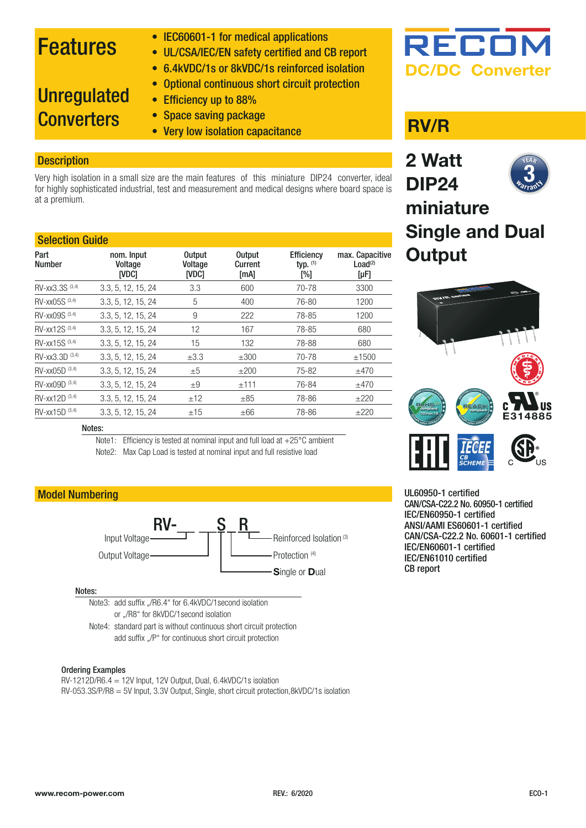### Features

- IEC60601-1 for medical applications
- UL/CSA/IEC/EN safety certified and CB report
- 6.4kVDC/1s or 8kVDC/1s reinforced isolation

#### • Optional continuous short circuit protection

### **Unregulated Converters**

- Efficiency up to 88%
- Space saving package
- Very low isolation capacitance **RV/R**

#### **Description**

Very high isolation in a small size are the main features of this miniature DIP24 converter, ideal for highly sophisticated industrial, test and measurement and medical designs where board space is at a premium.

| <b>Selection Guide</b> |                                       |                                          |                                  |                                        |                                                     |
|------------------------|---------------------------------------|------------------------------------------|----------------------------------|----------------------------------------|-----------------------------------------------------|
| Part<br><b>Number</b>  | nom. Input<br>Voltage<br><b>INDCI</b> | <b>Output</b><br>Voltage<br><b>IVDC1</b> | <b>Output</b><br>Current<br>[mA] | <b>Efficiency</b><br>typ. $(1)$<br>[%] | max. Capacitive<br>Load <sup>(2)</sup><br>$[\mu$ F] |
| RV-xx3.3S (3,4)        | 3.3, 5, 12, 15, 24                    | 3.3                                      | 600                              | 70-78                                  | 3300                                                |
| RV-xx05S (3,4)         | 3.3, 5, 12, 15, 24                    | 5                                        | 400                              | 76-80                                  | 1200                                                |
| RV-xx09S (3,4)         | 3.3, 5, 12, 15, 24                    | 9                                        | 222                              | 78-85                                  | 1200                                                |
| RV-xx12S (3,4)         | 3.3, 5, 12, 15, 24                    | 12                                       | 167                              | 78-85                                  | 680                                                 |
| RV-xx15S (3,4)         | 3.3, 5, 12, 15, 24                    | 15                                       | 132                              | 78-88                                  | 680                                                 |
| RV-xx3.3D (3,4)        | 3.3, 5, 12, 15, 24                    | $\pm 3.3$                                | $\pm 300$                        | 70-78                                  | ±1500                                               |
| $RV - xx05D^{(3,4)}$   | 3.3, 5, 12, 15, 24                    | $\pm 5$                                  | ±200                             | 75-82                                  | ±470                                                |
| RV-xx09D (3,4)         | 3.3, 5, 12, 15, 24                    | $\pm 9$                                  | ±111                             | 76-84                                  | ±470                                                |
| RV-xx12D (3,4)         | 3.3, 5, 12, 15, 24                    | ±12                                      | $\pm$ 85                         | 78-86                                  | ±220                                                |
| RV-xx15D (3,4)         | 3.3, 5, 12, 15, 24                    | ±15                                      | $\pm 66$                         | 78-86                                  | $+220$                                              |

#### Notes:

Note1: Efficiency is tested at nominal input and full load at +25°C ambient Note2: Max Cap Load is tested at nominal input and full resistive load

#### Model Numbering



#### Notes:

Note3: add suffix "/R6.4" for 6.4kVDC/1second isolation or "/R8" for 8kVDC/1 second isolation

Note4: standard part is without continuous short circuit protection add suffix "/P" for continuous short circuit protection

#### Ordering Examples

RV-1212D/R6.4 = 12V Input, 12V Output, Dual, 6.4kVDC/1s isolation RV-053.3S/P/R8 = 5V Input, 3.3V Output, Single, short circuit protection,8kVDC/1s isolation

## RECO **DC/DC Converter**



**Single and Dual Output**



UL60950-1 certified CAN/CSA-C22.2 No. 60950-1 certified IEC/EN60950-1 certified ANSI/AAMI ES60601-1 certified CAN/CSA-C22.2 No. 60601-1 certified IEC/EN60601-1 certified IEC/EN61010 certified CB report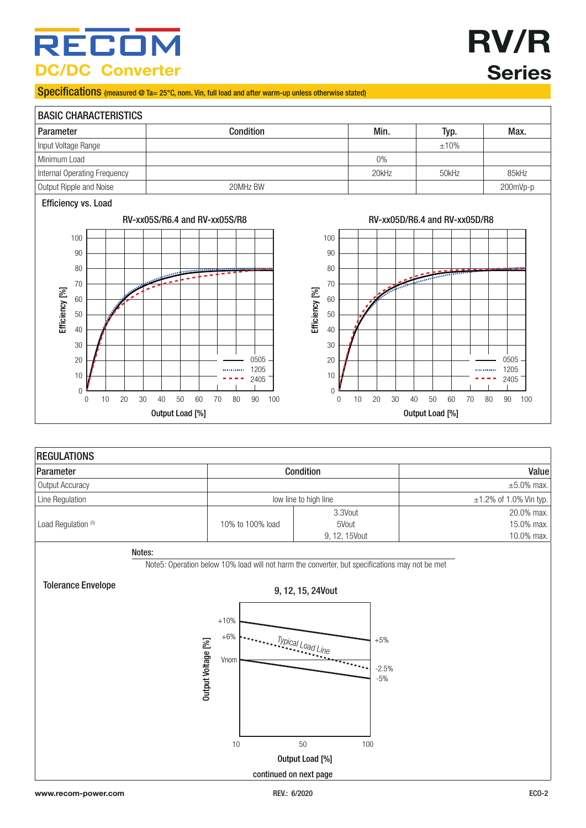### RECOI **DC/DC Converter**

# **RV/R Series**

#### Specifications (measured @ Ta= 25°C, nom. Vin, full load and after warm-up unless otherwise stated)

### BASIC CHARACTERISTICS Parameter Condition Min. Typ. Max. Input Voltage Range  $\pm 10\%$ Minimum Load 0% Internal Operating Frequency National According Treating Countries and the Social According Treating Treating S5kHz 85kHz Output Ripple and Noise 200mVp-p 200mHz BW 200mVp-p 200mVp-p 200mVp-p

#### Efficiency vs. Load





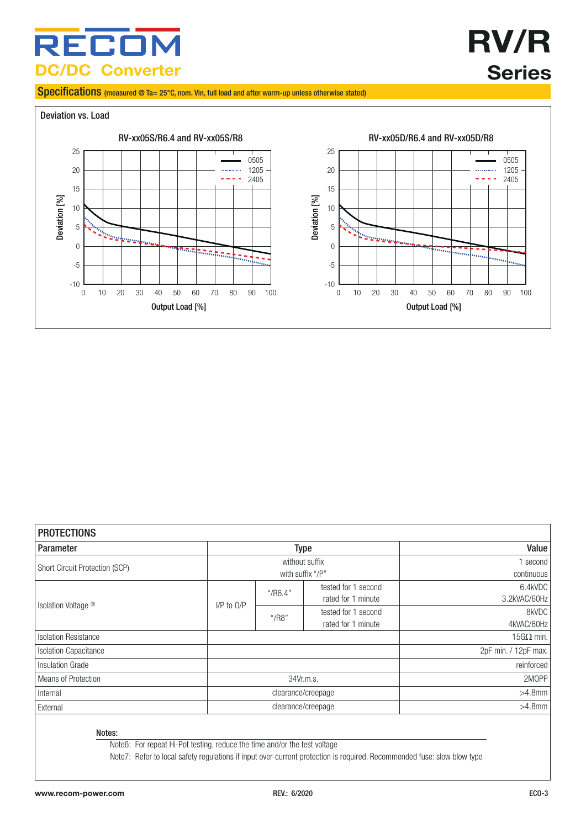### RECON **DC/DC Converter**

# **RV/R Series**

Specifications (measured @ Ta= 25°C, nom. Vin, full load and after warm-up unless otherwise stated)



| <b>PROTECTIONS</b>               |                                    |                      |                                           |                         |
|----------------------------------|------------------------------------|----------------------|-------------------------------------------|-------------------------|
| <b>Parameter</b>                 | <b>Type</b>                        |                      | Value                                     |                         |
| Short Circuit Protection (SCP)   | without suffix<br>with suffix "/P" |                      | second<br>continuous                      |                         |
|                                  |                                    | $\frac{4}{1}$ /R6.4" | tested for 1 second<br>rated for 1 minute | 6.4kVDC<br>3.2kVAC/60Hz |
| Isolation Voltage <sup>(6)</sup> | $I/P$ to $O/P$                     | $^{\circ}$ /R8"      | tested for 1 second<br>rated for 1 minute | 8kVDC<br>4kVAC/60Hz     |
| <b>Isolation Resistance</b>      |                                    |                      |                                           | $15G\Omega$ min.        |
| <b>Isolation Capacitance</b>     |                                    |                      |                                           | 2pF min. / 12pF max.    |
| Insulation Grade                 |                                    |                      |                                           | reinforced              |
| Means of Protection              | 34Vr.m.s.                          |                      |                                           | 2MOPP                   |
| Internal                         | clearance/creepage                 |                      |                                           | $>4.8$ mm               |
| External                         | clearance/creepage                 |                      |                                           | $>4.8$ mm               |

Notes:

Note6: For repeat Hi-Pot testing, reduce the time and/or the test voltage

Note7: Refer to local safety regulations if input over-current protection is required. Recommended fuse: slow blow type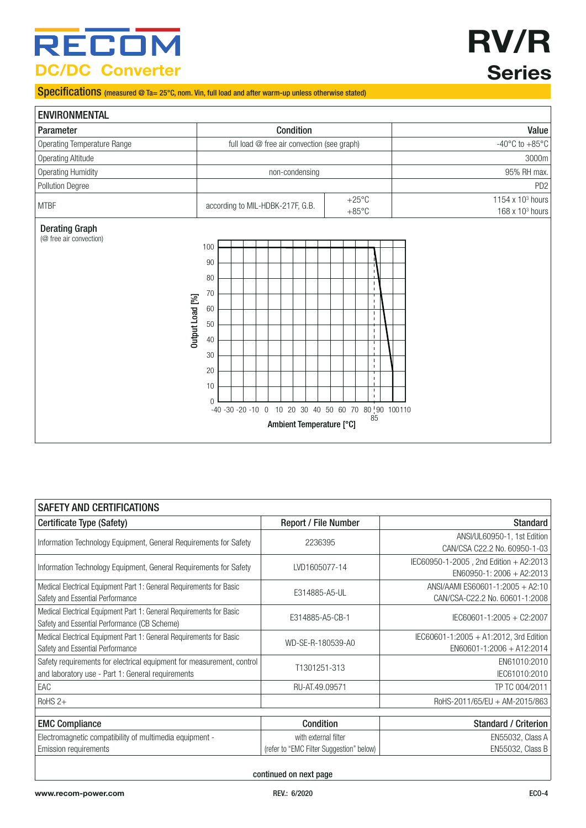### **RECOM DC/DC Converter**

# **RV/R Series**

Specifications (measured @ Ta= 25°C, nom. Vin, full load and after warm-up unless otherwise stated)

| <b>ENVIRONMENTAL</b>                                                |                                                                                                                                                                                       |                                                 |
|---------------------------------------------------------------------|---------------------------------------------------------------------------------------------------------------------------------------------------------------------------------------|-------------------------------------------------|
| Parameter                                                           | Condition                                                                                                                                                                             | Value                                           |
| <b>Operating Temperature Range</b>                                  | full load @ free air convection (see graph)                                                                                                                                           | -40 $^{\circ}$ C to +85 $^{\circ}$ C            |
| <b>Operating Altitude</b>                                           |                                                                                                                                                                                       | 3000m                                           |
| <b>Operating Humidity</b>                                           | non-condensing                                                                                                                                                                        | 95% RH max.                                     |
| Pollution Degree                                                    |                                                                                                                                                                                       | PD <sub>2</sub>                                 |
| <b>MTBF</b>                                                         | $+25^{\circ}$ C<br>according to MIL-HDBK-217F, G.B.<br>$+85^{\circ}$ C                                                                                                                | 1154 x 103 hours<br>168 x 10 <sup>3</sup> hours |
| <b>Derating Graph</b><br>(@ free air convection)<br>Output Load [%] | 100<br>90<br>80<br>70<br>60<br>50<br>40<br>30<br>$\blacksquare$<br>20<br>10<br>п<br>$\Omega$<br>-40 -30 -20 -10 0 10 20 30 40 50 60 70 80 90 100110<br>85<br>Ambient Temperature [°C] |                                                 |

| <b>SAFETY AND CERTIFICATIONS</b>                                                                                           |                                          |                                                                         |  |
|----------------------------------------------------------------------------------------------------------------------------|------------------------------------------|-------------------------------------------------------------------------|--|
| Certificate Type (Safety)                                                                                                  | Report / File Number                     | <b>Standard</b>                                                         |  |
| Information Technology Equipment, General Requirements for Safety                                                          | 2236395                                  | ANSI/UL60950-1, 1st Edition<br>CAN/CSA C22.2 No. 60950-1-03             |  |
| Information Technology Equipment, General Requirements for Safety                                                          | LVD1605077-14                            | IEC60950-1-2005, 2nd Edition + A2:2013<br>$EN60950-1: 2006 + A2:2013$   |  |
| Medical Electrical Equipment Part 1: General Requirements for Basic<br>Safety and Essential Performance                    | E314885-A5-UL                            | ANSI/AAMI ES60601-1:2005 + A2:10<br>CAN/CSA-C22.2 No. 60601-1:2008      |  |
| Medical Electrical Equipment Part 1: General Requirements for Basic<br>Safety and Essential Performance (CB Scheme)        | E314885-A5-CB-1                          | IEC60601-1:2005 + C2:2007                                               |  |
| Medical Electrical Equipment Part 1: General Requirements for Basic<br>Safety and Essential Performance                    | WD-SE-R-180539-A0                        | IEC60601-1:2005 + A1:2012, 3rd Edition<br>$EN60601 - 1:2006 + A12:2014$ |  |
| Safety requirements for electrical equipment for measurement, control<br>and laboratory use - Part 1: General requirements | T1301251-313                             | EN61010:2010<br>IEC61010:2010                                           |  |
| EAC                                                                                                                        | RU-AT.49.09571                           | TP TC 004/2011                                                          |  |
| $RoHS$ 2+                                                                                                                  |                                          | RoHS-2011/65/EU + AM-2015/863                                           |  |
| <b>EMC Compliance</b>                                                                                                      | Condition                                | <b>Standard / Criterion</b>                                             |  |
| Electromagnetic compatibility of multimedia equipment -                                                                    | with external filter                     | EN55032, Class A                                                        |  |
| <b>Emission requirements</b>                                                                                               | (refer to "EMC Filter Suggestion" below) | EN55032, Class B                                                        |  |
|                                                                                                                            |                                          |                                                                         |  |

continued on next page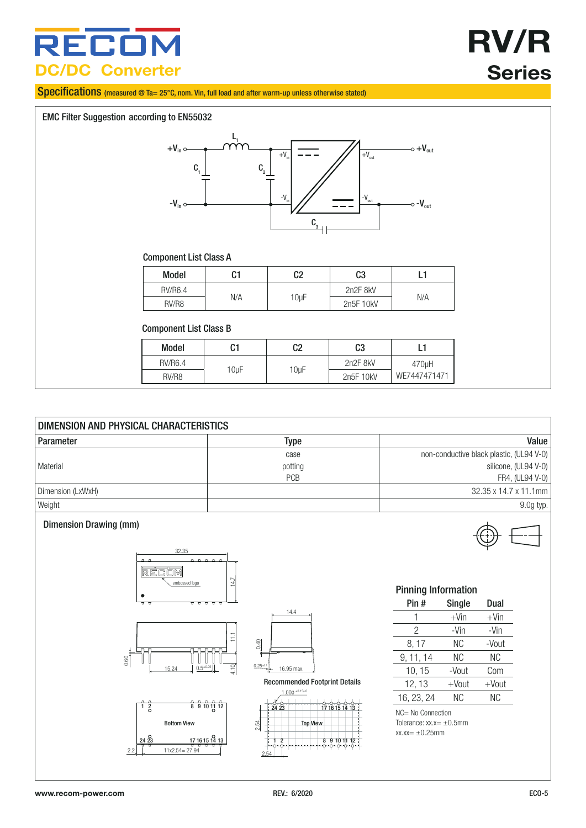### RECO **DC/DC Converter**

# **RV/R Series**

Specifications (measured @ Ta= 25°C, nom. Vin, full load and after warm-up unless otherwise stated)

<span id="page-4-0"></span>

| DIMENSION AND PHYSICAL CHARACTERISTICS |            |                                          |  |
|----------------------------------------|------------|------------------------------------------|--|
| Parameter                              | Type       | Value                                    |  |
|                                        | case       | non-conductive black plastic, (UL94 V-0) |  |
| l Material                             | potting    | silicone, (UL94 V-0)                     |  |
|                                        | <b>PCB</b> | FR4, (UL94 V-0)                          |  |
| Dimension (LxWxH)                      |            | 32.35 x 14.7 x 11.1mm                    |  |
| Weight                                 |            | $9.0g$ typ.                              |  |



#### Pinning Information

| Pin #      | <b>Single</b> | Dual    |
|------------|---------------|---------|
| 1          | $+V$ in       | $+V$ in |
| 2          | -Vin          | -Vin    |
| 8, 17      | ΝC            | -Vout   |
| 9, 11, 14  | ΝC            | ΝC      |
| 10, 15     | -Vout         | Com     |
| 12, 13     | $+$ Vout      | +Vout   |
| 16, 23, 24 | ΝC            | ΝC      |

NC= No Connection Tolerance: xx.x= ±0.5mm  $xx.xx= \pm 0.25$ mm